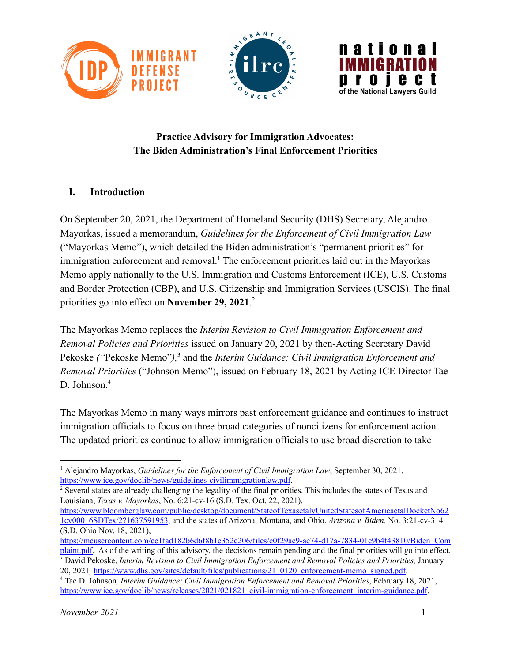

## **Practice Advisory for Immigration Advocates: The Biden Administration's Final Enforcement Priorities**

### **I. Introduction**

On September 20, 2021, the Department of Homeland Security (DHS) Secretary, Alejandro Mayorkas, issued a memorandum, *Guidelines for the Enforcement of Civil Immigration Law* ("Mayorkas Memo"), which detailed the Biden administration's "permanent priorities" for immigration enforcement and removal.<sup>1</sup> The enforcement priorities laid out in the Mayorkas Memo apply nationally to the U.S. Immigration and Customs Enforcement (ICE), U.S. Customs and Border Protection (CBP), and U.S. Citizenship and Immigration Services (USCIS). The final priorities go into effect on **November 29, 2021**. 2

The Mayorkas Memo replaces the *Interim Revision to Civil Immigration Enforcement and Removal Policies and Priorities* issued on January 20, 2021 by then-Acting Secretary David Pekoske *("Pekoske Memo")*,<sup>3</sup> and the *Interim Guidance: Civil Immigration Enforcement and Removal Priorities* ("Johnson Memo"), issued on February 18, 2021 by Acting ICE Director Tae D. Johnson.<sup>4</sup>

The Mayorkas Memo in many ways mirrors past enforcement guidance and continues to instruct immigration officials to focus on three broad categories of noncitizens for enforcement action. The updated priorities continue to allow immigration officials to use broad discretion to take

[https://www.bloomberglaw.com/public/desktop/document/StateofTexasetalvUnitedStatesofAmericaetalDocketNo62](https://www.bloomberglaw.com/public/desktop/document/StateofTexasetalvUnitedStatesofAmericaetalDocketNo621cv00016SDTex/2?1637591953) [1cv00016SDTex/2?1637591953](https://www.bloomberglaw.com/public/desktop/document/StateofTexasetalvUnitedStatesofAmericaetalDocketNo621cv00016SDTex/2?1637591953), and the states of Arizona, Montana, and Ohio. *Arizona v. Biden,* No. 3:21-cv-314 (S.D. Ohio Nov. 18, 2021),

<sup>1</sup> Alejandro Mayorkas, *Guidelines for the Enforcement of Civil Immigration Law*, September 30, 2021, <https://www.ice.gov/doclib/news/guidelines-civilimmigrationlaw.pdf>.

<sup>2</sup> Several states are already challenging the legality of the final priorities. This includes the states of Texas and Louisiana, *Texas v. Mayorkas*, No. 6:21-cv-16 (S.D. Tex. Oct. 22, 2021),

<sup>3</sup> David Pekoske, *Interim Revision to Civil Immigration Enforcement and Removal Policies and Priorities,* January 20, 2021*,* [https://www.dhs.gov/sites/default/files/publications/21\\_0120\\_enforcement-memo\\_signed.pdf](https://www.dhs.gov/sites/default/files/publications/21_0120_enforcement-memo_signed.pdf). [https://mcusercontent.com/cc1fad182b6d6f8b1e352e206/files/c0f29ac9-ac74-d17a-7834-01e9b4f43810/Biden\\_Com](https://mcusercontent.com/cc1fad182b6d6f8b1e352e206/files/c0f29ac9-ac74-d17a-7834-01e9b4f43810/Biden_Complaint.pdf) [plaint.pdf.](https://mcusercontent.com/cc1fad182b6d6f8b1e352e206/files/c0f29ac9-ac74-d17a-7834-01e9b4f43810/Biden_Complaint.pdf) As of the writing of this advisory, the decisions remain pending and the final priorities will go into effect.

<sup>4</sup> Tae D. Johnson*, Interim Guidance: Civil Immigration Enforcement and Removal Priorities*, February 18, 2021, [https://www.ice.gov/doclib/news/releases/2021/021821\\_civil-immigration-enforcement\\_interim-guidance.pdf](https://www.ice.gov/doclib/news/releases/2021/021821_civil-immigration-enforcement_interim-guidance.pdf).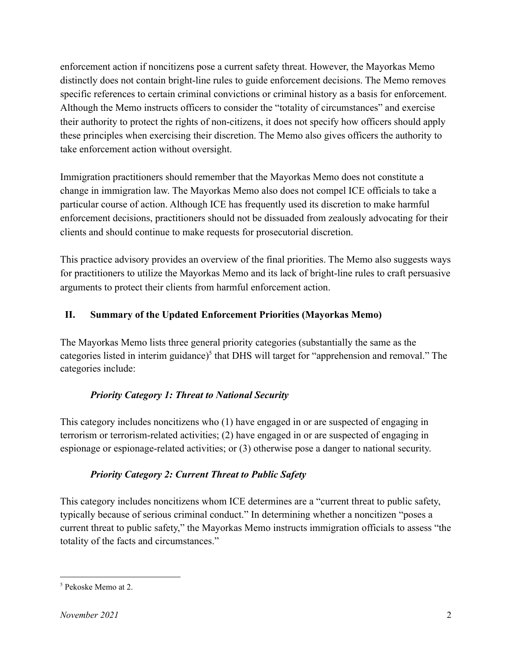enforcement action if noncitizens pose a current safety threat. However, the Mayorkas Memo distinctly does not contain bright-line rules to guide enforcement decisions. The Memo removes specific references to certain criminal convictions or criminal history as a basis for enforcement. Although the Memo instructs officers to consider the "totality of circumstances" and exercise their authority to protect the rights of non-citizens, it does not specify how officers should apply these principles when exercising their discretion. The Memo also gives officers the authority to take enforcement action without oversight.

Immigration practitioners should remember that the Mayorkas Memo does not constitute a change in immigration law. The Mayorkas Memo also does not compel ICE officials to take a particular course of action. Although ICE has frequently used its discretion to make harmful enforcement decisions, practitioners should not be dissuaded from zealously advocating for their clients and should continue to make requests for prosecutorial discretion.

This practice advisory provides an overview of the final priorities. The Memo also suggests ways for practitioners to utilize the Mayorkas Memo and its lack of bright-line rules to craft persuasive arguments to protect their clients from harmful enforcement action.

## **II. Summary of the Updated Enforcement Priorities (Mayorkas Memo)**

The Mayorkas Memo lists three general priority categories (substantially the same as the categories listed in interim guidance)<sup>5</sup> that DHS will target for "apprehension and removal." The categories include:

### *Priority Category 1: Threat to National Security*

This category includes noncitizens who (1) have engaged in or are suspected of engaging in terrorism or terrorism-related activities; (2) have engaged in or are suspected of engaging in espionage or espionage-related activities; or (3) otherwise pose a danger to national security.

### *Priority Category 2: Current Threat to Public Safety*

This category includes noncitizens whom ICE determines are a "current threat to public safety, typically because of serious criminal conduct." In determining whether a noncitizen "poses a current threat to public safety," the Mayorkas Memo instructs immigration officials to assess "the totality of the facts and circumstances."

<sup>5</sup> Pekoske Memo at 2.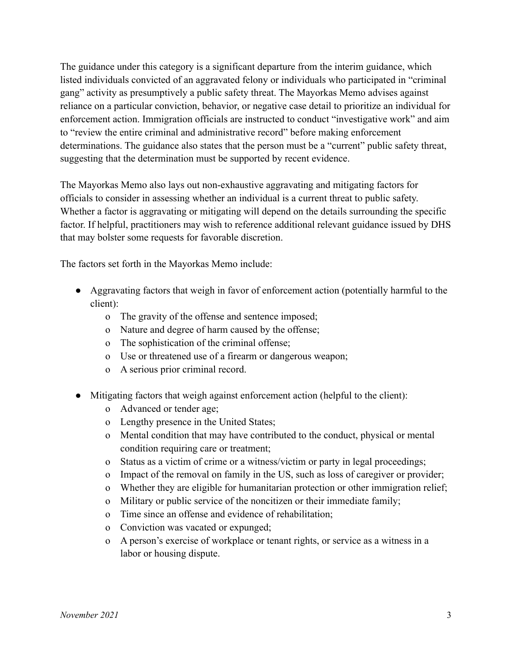The guidance under this category is a significant departure from the interim guidance, which listed individuals convicted of an aggravated felony or individuals who participated in "criminal gang" activity as presumptively a public safety threat. The Mayorkas Memo advises against reliance on a particular conviction, behavior, or negative case detail to prioritize an individual for enforcement action. Immigration officials are instructed to conduct "investigative work" and aim to "review the entire criminal and administrative record" before making enforcement determinations. The guidance also states that the person must be a "current" public safety threat, suggesting that the determination must be supported by recent evidence.

The Mayorkas Memo also lays out non-exhaustive aggravating and mitigating factors for officials to consider in assessing whether an individual is a current threat to public safety. Whether a factor is aggravating or mitigating will depend on the details surrounding the specific factor. If helpful, practitioners may wish to reference additional relevant guidance issued by DHS that may bolster some requests for favorable discretion.

The factors set forth in the Mayorkas Memo include:

- Aggravating factors that weigh in favor of enforcement action (potentially harmful to the client):
	- o The gravity of the offense and sentence imposed;
	- o Nature and degree of harm caused by the offense;
	- o The sophistication of the criminal offense;
	- o Use or threatened use of a firearm or dangerous weapon;
	- o A serious prior criminal record.
- Mitigating factors that weigh against enforcement action (helpful to the client):
	- o Advanced or tender age;
	- o Lengthy presence in the United States;
	- o Mental condition that may have contributed to the conduct, physical or mental condition requiring care or treatment;
	- o Status as a victim of crime or a witness/victim or party in legal proceedings;
	- o Impact of the removal on family in the US, such as loss of caregiver or provider;
	- o Whether they are eligible for humanitarian protection or other immigration relief;
	- o Military or public service of the noncitizen or their immediate family;
	- o Time since an offense and evidence of rehabilitation;
	- o Conviction was vacated or expunged;
	- o A person's exercise of workplace or tenant rights, or service as a witness in a labor or housing dispute.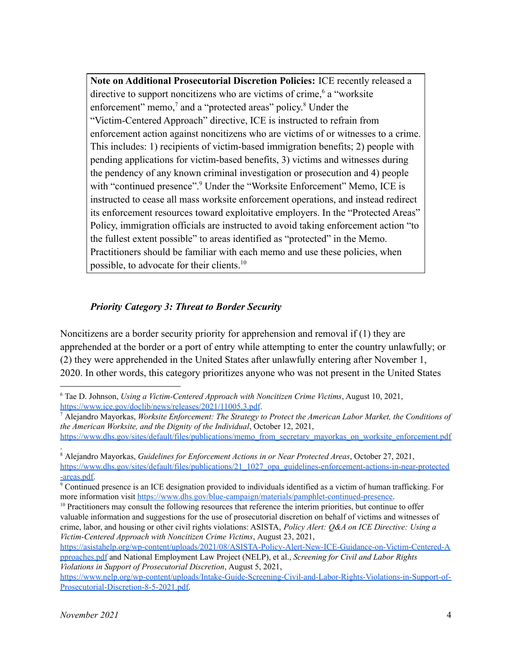**Note on Additional Prosecutorial Discretion Policies:** ICE recently released a directive to support noncitizens who are victims of crime,<sup> $6$ </sup> a "worksite" enforcement" memo, $<sup>7</sup>$  and a "protected areas" policy. $<sup>8</sup>$  Under the</sup></sup> "Victim-Centered Approach" directive, ICE is instructed to refrain from enforcement action against noncitizens who are victims of or witnesses to a crime. This includes: 1) recipients of victim-based immigration benefits; 2) people with pending applications for victim-based benefits, 3) victims and witnesses during the pendency of any known criminal investigation or prosecution and 4) people with "continued presence".<sup>9</sup> Under the "Worksite Enforcement" Memo, ICE is instructed to cease all mass worksite enforcement operations, and instead redirect its enforcement resources toward exploitative employers. In the "Protected Areas" Policy, immigration officials are instructed to avoid taking enforcement action "to the fullest extent possible" to areas identified as "protected" in the Memo. Practitioners should be familiar with each memo and use these policies, when possible, to advocate for their clients.<sup>10</sup>

### *Priority Category 3: Threat to Border Security*

Noncitizens are a border security priority for apprehension and removal if (1) they are apprehended at the border or a port of entry while attempting to enter the country unlawfully; or (2) they were apprehended in the United States after unlawfully entering after November 1, 2020. In other words, this category prioritizes anyone who was not present in the United States

<sup>6</sup> Tae D. Johnson, *Using a Victim-Centered Approach with Noncitizen Crime Victims*, August 10, 2021, <https://www.ice.gov/doclib/news/releases/2021/11005.3.pdf>.

<sup>7</sup> Alejandro Mayorkas, *Worksite Enforcement: The Strategy to Protect the American Labor Market, the Conditions of the American Worksite, and the Dignity of the Individual*, October 12, 2021,

[https://www.dhs.gov/sites/default/files/publications/memo\\_from\\_secretary\\_mayorkas\\_on\\_worksite\\_enforcement.pdf](https://www.dhs.gov/sites/default/files/publications/memo_from_secretary_mayorkas_on_worksite_enforcement.pdf) .

<sup>8</sup> Alejandro Mayorkas, *Guidelines for Enforcement Actions in or Near Protected Areas*, October 27, 2021, [https://www.dhs.gov/sites/default/files/publications/21\\_1027\\_opa\\_guidelines-enforcement-actions-in-near-protected](https://www.dhs.gov/sites/default/files/publications/21_1027_opa_guidelines-enforcement-actions-in-near-protected-areas.pdf) [-areas.pdf.](https://www.dhs.gov/sites/default/files/publications/21_1027_opa_guidelines-enforcement-actions-in-near-protected-areas.pdf)

<sup>9</sup> Continued presence is an ICE designation provided to individuals identified as a victim of human trafficking. For more information visit [https://www.dhs.gov/blue-campaign/materials/pamphlet-continued-presence.](https://www.dhs.gov/blue-campaign/materials/pamphlet-continued-presence)

 $10$  Practitioners may consult the following resources that reference the interim priorities, but continue to offer valuable information and suggestions for the use of prosecutorial discretion on behalf of victims and witnesses of crime, labor, and housing or other civil rights violations: ASISTA, *Policy Alert: Q&A on ICE Directive: Using a Victim-Centered Approach with Noncitizen Crime Victims*, August 23, 2021,

[https://asistahelp.org/wp-content/uploads/2021/08/ASISTA-Policy-Alert-New-ICE-Guidance-on-Victim-Centered-A](https://asistahelp.org/wp-content/uploads/2021/08/ASISTA-Policy-Alert-New-ICE-Guidance-on-Victim-Centered-Approaches.pdf) [pproaches.pdf](https://asistahelp.org/wp-content/uploads/2021/08/ASISTA-Policy-Alert-New-ICE-Guidance-on-Victim-Centered-Approaches.pdf) and National Employment Law Project (NELP), et al., *Screening for Civil and Labor Rights Violations in Support of Prosecutorial Discretion*, August 5, 2021,

[https://www.nelp.org/wp-content/uploads/Intake-Guide-Screening-Civil-and-Labor-Rights-Violations-in-Support-of-](https://www.nelp.org/wp-content/uploads/Intake-Guide-Screening-Civil-and-Labor-Rights-Violations-in-Support-of-Prosecutorial-Discretion-8-5-2021.pdf)[Prosecutorial-Discretion-8-5-2021.pdf.](https://www.nelp.org/wp-content/uploads/Intake-Guide-Screening-Civil-and-Labor-Rights-Violations-in-Support-of-Prosecutorial-Discretion-8-5-2021.pdf)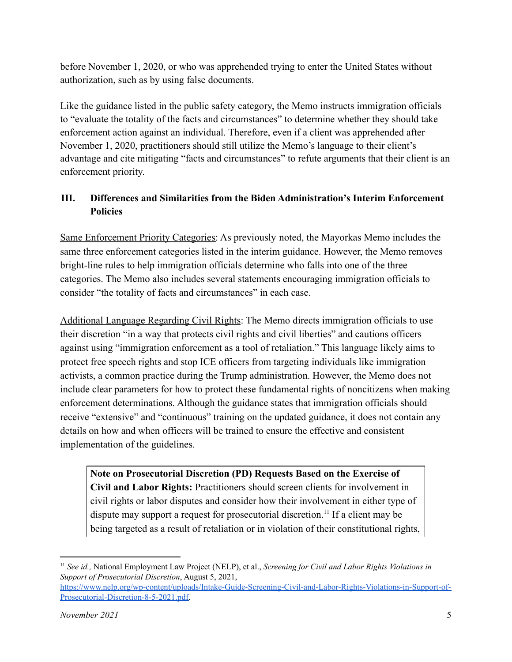before November 1, 2020, or who was apprehended trying to enter the United States without authorization, such as by using false documents.

Like the guidance listed in the public safety category, the Memo instructs immigration officials to "evaluate the totality of the facts and circumstances" to determine whether they should take enforcement action against an individual. Therefore, even if a client was apprehended after November 1, 2020, practitioners should still utilize the Memo's language to their client's advantage and cite mitigating "facts and circumstances" to refute arguments that their client is an enforcement priority.

# **III. Differences and Similarities from the Biden Administration's Interim Enforcement Policies**

Same Enforcement Priority Categories: As previously noted, the Mayorkas Memo includes the same three enforcement categories listed in the interim guidance. However, the Memo removes bright-line rules to help immigration officials determine who falls into one of the three categories. The Memo also includes several statements encouraging immigration officials to consider "the totality of facts and circumstances" in each case.

Additional Language Regarding Civil Rights: The Memo directs immigration officials to use their discretion "in a way that protects civil rights and civil liberties" and cautions officers against using "immigration enforcement as a tool of retaliation." This language likely aims to protect free speech rights and stop ICE officers from targeting individuals like immigration activists, a common practice during the Trump administration. However, the Memo does not include clear parameters for how to protect these fundamental rights of noncitizens when making enforcement determinations. Although the guidance states that immigration officials should receive "extensive" and "continuous" training on the updated guidance, it does not contain any details on how and when officers will be trained to ensure the effective and consistent implementation of the guidelines.

**Note on Prosecutorial Discretion (PD) Requests Based on the Exercise of Civil and Labor Rights:** Practitioners should screen clients for involvement in civil rights or labor disputes and consider how their involvement in either type of dispute may support a request for prosecutorial discretion.<sup>11</sup> If a client may be being targeted as a result of retaliation or in violation of their constitutional rights,

<sup>11</sup> *See id.,* National Employment Law Project (NELP), et al., *Screening for Civil and Labor Rights Violations in Support of Prosecutorial Discretion*, August 5, 2021,

[https://www.nelp.org/wp-content/uploads/Intake-Guide-Screening-Civil-and-Labor-Rights-Violations-in-Support-of-](https://www.nelp.org/wp-content/uploads/Intake-Guide-Screening-Civil-and-Labor-Rights-Violations-in-Support-of-Prosecutorial-Discretion-8-5-2021.pdf)[Prosecutorial-Discretion-8-5-2021.pdf.](https://www.nelp.org/wp-content/uploads/Intake-Guide-Screening-Civil-and-Labor-Rights-Violations-in-Support-of-Prosecutorial-Discretion-8-5-2021.pdf)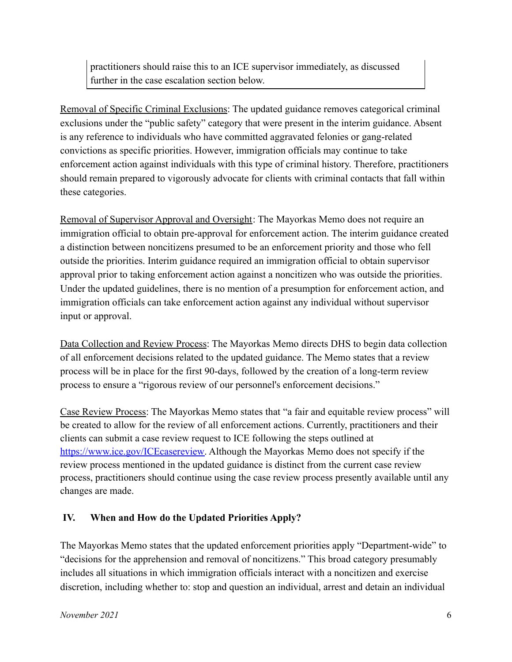practitioners should raise this to an ICE supervisor immediately, as discussed further in the case escalation section below.

Removal of Specific Criminal Exclusions: The updated guidance removes categorical criminal exclusions under the "public safety" category that were present in the interim guidance. Absent is any reference to individuals who have committed aggravated felonies or gang-related convictions as specific priorities. However, immigration officials may continue to take enforcement action against individuals with this type of criminal history. Therefore, practitioners should remain prepared to vigorously advocate for clients with criminal contacts that fall within these categories.

Removal of Supervisor Approval and Oversight: The Mayorkas Memo does not require an immigration official to obtain pre-approval for enforcement action. The interim guidance created a distinction between noncitizens presumed to be an enforcement priority and those who fell outside the priorities. Interim guidance required an immigration official to obtain supervisor approval prior to taking enforcement action against a noncitizen who was outside the priorities. Under the updated guidelines, there is no mention of a presumption for enforcement action, and immigration officials can take enforcement action against any individual without supervisor input or approval.

Data Collection and Review Process: The Mayorkas Memo directs DHS to begin data collection of all enforcement decisions related to the updated guidance. The Memo states that a review process will be in place for the first 90-days, followed by the creation of a long-term review process to ensure a "rigorous review of our personnel's enforcement decisions."

Case Review Process: The Mayorkas Memo states that "a fair and equitable review process" will be created to allow for the review of all enforcement actions. Currently, practitioners and their clients can submit a case review request to ICE following the steps outlined at [https://www.ice.gov/ICEcasereview.](https://www.ice.gov/ICEcasereview) Although the Mayorkas Memo does not specify if the review process mentioned in the updated guidance is distinct from the current case review process, practitioners should continue using the case review process presently available until any changes are made.

### **IV. When and How do the Updated Priorities Apply?**

The Mayorkas Memo states that the updated enforcement priorities apply "Department-wide" to "decisions for the apprehension and removal of noncitizens." This broad category presumably includes all situations in which immigration officials interact with a noncitizen and exercise discretion, including whether to: stop and question an individual, arrest and detain an individual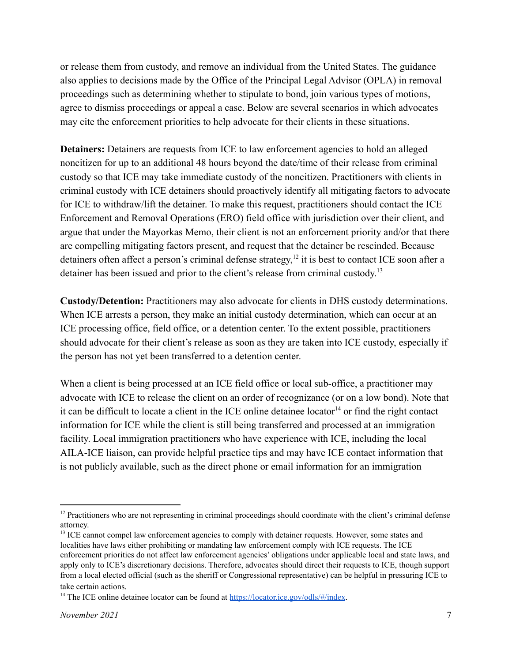or release them from custody, and remove an individual from the United States. The guidance also applies to decisions made by the Office of the Principal Legal Advisor (OPLA) in removal proceedings such as determining whether to stipulate to bond, join various types of motions, agree to dismiss proceedings or appeal a case. Below are several scenarios in which advocates may cite the enforcement priorities to help advocate for their clients in these situations.

**Detainers:** Detainers are requests from ICE to law enforcement agencies to hold an alleged noncitizen for up to an additional 48 hours beyond the date/time of their release from criminal custody so that ICE may take immediate custody of the noncitizen. Practitioners with clients in criminal custody with ICE detainers should proactively identify all mitigating factors to advocate for ICE to withdraw/lift the detainer. To make this request, practitioners should contact the ICE Enforcement and Removal Operations (ERO) field office with jurisdiction over their client, and argue that under the Mayorkas Memo, their client is not an enforcement priority and/or that there are compelling mitigating factors present, and request that the detainer be rescinded. Because detainers often affect a person's criminal defense strategy,  $12$  it is best to contact ICE soon after a detainer has been issued and prior to the client's release from criminal custody.<sup>13</sup>

**Custody/Detention:** Practitioners may also advocate for clients in DHS custody determinations. When ICE arrests a person, they make an initial custody determination, which can occur at an ICE processing office, field office, or a detention center. To the extent possible, practitioners should advocate for their client's release as soon as they are taken into ICE custody, especially if the person has not yet been transferred to a detention center.

When a client is being processed at an ICE field office or local sub-office, a practitioner may advocate with ICE to release the client on an order of recognizance (or on a low bond). Note that it can be difficult to locate a client in the ICE online detainee locator<sup>14</sup> or find the right contact information for ICE while the client is still being transferred and processed at an immigration facility. Local immigration practitioners who have experience with ICE, including the local AILA-ICE liaison, can provide helpful practice tips and may have ICE contact information that is not publicly available, such as the direct phone or email information for an immigration

<sup>&</sup>lt;sup>12</sup> Practitioners who are not representing in criminal proceedings should coordinate with the client's criminal defense attorney.

<sup>&</sup>lt;sup>13</sup> ICE cannot compel law enforcement agencies to comply with detainer requests. However, some states and localities have laws either prohibiting or mandating law enforcement comply with ICE requests. The ICE enforcement priorities do not affect law enforcement agencies' obligations under applicable local and state laws, and apply only to ICE's discretionary decisions. Therefore, advocates should direct their requests to ICE, though support from a local elected official (such as the sheriff or Congressional representative) can be helpful in pressuring ICE to take certain actions.

<sup>&</sup>lt;sup>14</sup> The ICE online detainee locator can be found at  $\frac{https://location.ice.gov/odls/\#/index}{https://location.ice.gov/odls/\#/index}.$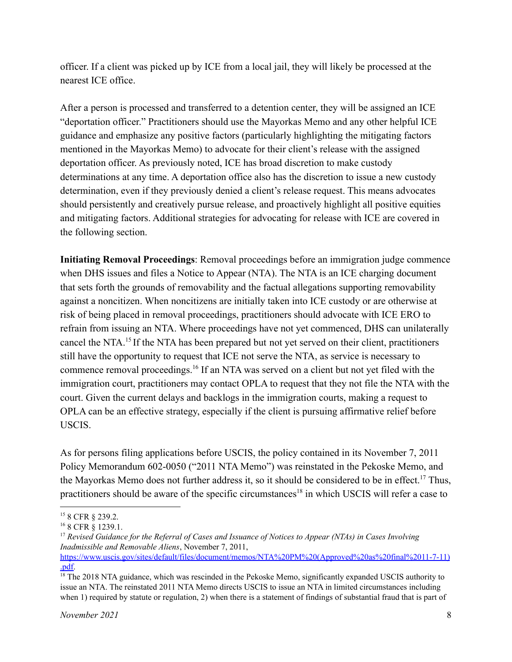officer. If a client was picked up by ICE from a local jail, they will likely be processed at the nearest ICE office.

After a person is processed and transferred to a detention center, they will be assigned an ICE "deportation officer." Practitioners should use the Mayorkas Memo and any other helpful ICE guidance and emphasize any positive factors (particularly highlighting the mitigating factors mentioned in the Mayorkas Memo) to advocate for their client's release with the assigned deportation officer. As previously noted, ICE has broad discretion to make custody determinations at any time. A deportation office also has the discretion to issue a new custody determination, even if they previously denied a client's release request. This means advocates should persistently and creatively pursue release, and proactively highlight all positive equities and mitigating factors. Additional strategies for advocating for release with ICE are covered in the following section.

**Initiating Removal Proceedings**: Removal proceedings before an immigration judge commence when DHS issues and files a Notice to Appear (NTA). The NTA is an ICE charging document that sets forth the grounds of removability and the factual allegations supporting removability against a noncitizen. When noncitizens are initially taken into ICE custody or are otherwise at risk of being placed in removal proceedings, practitioners should advocate with ICE ERO to refrain from issuing an NTA. Where proceedings have not yet commenced, DHS can unilaterally cancel the NTA.<sup>15</sup> If the NTA has been prepared but not yet served on their client, practitioners still have the opportunity to request that ICE not serve the NTA, as service is necessary to commence removal proceedings.<sup>16</sup> If an NTA was served on a client but not yet filed with the immigration court, practitioners may contact OPLA to request that they not file the NTA with the court. Given the current delays and backlogs in the immigration courts, making a request to OPLA can be an effective strategy, especially if the client is pursuing affirmative relief before USCIS.

As for persons filing applications before USCIS, the policy contained in its November 7, 2011 Policy Memorandum 602-0050 ("2011 NTA Memo") was reinstated in the Pekoske Memo, and the Mayorkas Memo does not further address it, so it should be considered to be in effect.<sup>17</sup> Thus, practitioners should be aware of the specific circumstances<sup>18</sup> in which USCIS will refer a case to

<sup>15</sup> 8 CFR § 239.2.

<sup>&</sup>lt;sup>16</sup> 8 CFR § 1239.1.

<sup>17</sup> *Revised Guidance for the Referral of Cases and Issuance of Notices to Appear (NTAs) in Cases Involving Inadmissible and Removable Aliens*, November 7, 2011, [https://www.uscis.gov/sites/default/files/document/memos/NTA%20PM%20\(Approved%20as%20final%2011-7-11\)](https://www.uscis.gov/sites/default/files/document/memos/NTA%20PM%20(Approved%20as%20final%2011-7-11).pdf) [.pdf.](https://www.uscis.gov/sites/default/files/document/memos/NTA%20PM%20(Approved%20as%20final%2011-7-11).pdf)

<sup>&</sup>lt;sup>18</sup> The 2018 NTA guidance, which was rescinded in the Pekoske Memo, significantly expanded USCIS authority to issue an NTA. The reinstated 2011 NTA Memo directs USCIS to issue an NTA in limited circumstances including when 1) required by statute or regulation, 2) when there is a statement of findings of substantial fraud that is part of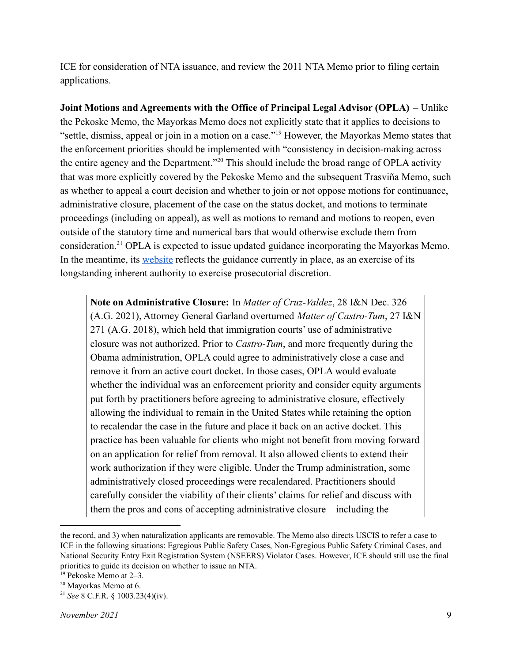ICE for consideration of NTA issuance, and review the 2011 NTA Memo prior to filing certain applications.

**Joint Motions and Agreements with the Office of Principal Legal Advisor (OPLA)** – Unlike the Pekoske Memo, the Mayorkas Memo does not explicitly state that it applies to decisions to "settle, dismiss, appeal or join in a motion on a case."<sup>19</sup> However, the Mayorkas Memo states that the enforcement priorities should be implemented with "consistency in decision-making across the entire agency and the Department."<sup>20</sup> This should include the broad range of OPLA activity that was more explicitly covered by the Pekoske Memo and the subsequent Trasviña Memo, such as whether to appeal a court decision and whether to join or not oppose motions for continuance, administrative closure, placement of the case on the status docket, and motions to terminate proceedings (including on appeal), as well as motions to remand and motions to reopen, even outside of the statutory time and numerical bars that would otherwise exclude them from consideration.<sup>21</sup> OPLA is expected to issue updated guidance incorporating the Mayorkas Memo. In the meantime, its [website](https://www.ice.gov/about-ice/opla/prosecutorial-discretion) reflects the guidance currently in place, as an exercise of its longstanding inherent authority to exercise prosecutorial discretion.

**Note on Administrative Closure:** In *Matter of Cruz-Valdez*, 28 I&N Dec. 326 (A.G. 2021), Attorney General Garland overturned *Matter of Castro-Tum*, 27 I&N 271 (A.G. 2018), which held that immigration courts' use of administrative closure was not authorized. Prior to *Castro-Tum*, and more frequently during the Obama administration, OPLA could agree to administratively close a case and remove it from an active court docket. In those cases, OPLA would evaluate whether the individual was an enforcement priority and consider equity arguments put forth by practitioners before agreeing to administrative closure, effectively allowing the individual to remain in the United States while retaining the option to recalendar the case in the future and place it back on an active docket. This practice has been valuable for clients who might not benefit from moving forward on an application for relief from removal. It also allowed clients to extend their work authorization if they were eligible. Under the Trump administration, some administratively closed proceedings were recalendared. Practitioners should carefully consider the viability of their clients' claims for relief and discuss with them the pros and cons of accepting administrative closure – including the

the record, and 3) when naturalization applicants are removable. The Memo also directs USCIS to refer a case to ICE in the following situations: Egregious Public Safety Cases, Non-Egregious Public Safety Criminal Cases, and National Security Entry Exit Registration System (NSEERS) Violator Cases. However, ICE should still use the final priorities to guide its decision on whether to issue an NTA.

<sup>19</sup> Pekoske Memo at 2–3.

<sup>20</sup> Mayorkas Memo at 6.

<sup>21</sup> *See* 8 C.F.R. § 1003.23(4)(iv).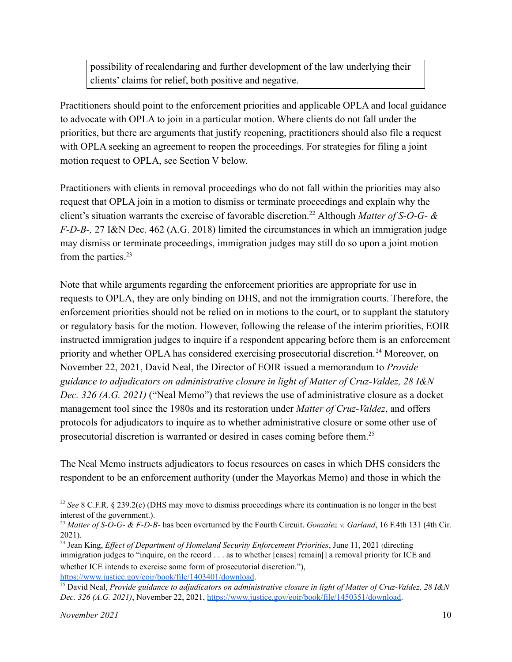possibility of recalendaring and further development of the law underlying their clients' claims for relief, both positive and negative.

Practitioners should point to the enforcement priorities and applicable OPLA and local guidance to advocate with OPLA to join in a particular motion. Where clients do not fall under the priorities, but there are arguments that justify reopening, practitioners should also file a request with OPLA seeking an agreement to reopen the proceedings. For strategies for filing a joint motion request to OPLA, see Section V below.

Practitioners with clients in removal proceedings who do not fall within the priorities may also request that OPLA join in a motion to dismiss or terminate proceedings and explain why the client's situation warrants the exercise of favorable discretion.<sup>22</sup> Although *Matter of S-O-G- & F-D-B-,* 27 I&N Dec. 462 (A.G. 2018) limited the circumstances in which an immigration judge may dismiss or terminate proceedings, immigration judges may still do so upon a joint motion from the parties. $23$ 

Note that while arguments regarding the enforcement priorities are appropriate for use in requests to OPLA, they are only binding on DHS, and not the immigration courts. Therefore, the enforcement priorities should not be relied on in motions to the court, or to supplant the statutory or regulatory basis for the motion. However, following the release of the interim priorities, EOIR instructed immigration judges to inquire if a respondent appearing before them is an enforcement priority and whether OPLA has considered exercising prosecutorial discretion.<sup>24</sup> Moreover, on November 22, 2021, David Neal, the Director of EOIR issued a memorandum to *Provide guidance to adjudicators on administrative closure in light of Matter of Cruz-Valdez, 28 I&N Dec. 326 (A.G. 2021)* ("Neal Memo") that reviews the use of administrative closure as a docket management tool since the 1980s and its restoration under *Matter of Cruz-Valdez*, and offers protocols for adjudicators to inquire as to whether administrative closure or some other use of prosecutorial discretion is warranted or desired in cases coming before them.<sup>25</sup>

The Neal Memo instructs adjudicators to focus resources on cases in which DHS considers the respondent to be an enforcement authority (under the Mayorkas Memo) and those in which the

<sup>&</sup>lt;sup>22</sup> See 8 C.F.R. § 239.2(c) (DHS may move to dismiss proceedings where its continuation is no longer in the best interest of the government.).

<sup>23</sup> *Matter of S-O-G- & F-D-B-* has been overturned by the Fourth Circuit. *Gonzalez v. Garland*, 16 F.4th 131 (4th Cir. 2021).

<sup>&</sup>lt;sup>24</sup> Jean King, *Effect of Department of Homeland Security Enforcement Priorities, June 11, 2021 (directing* immigration judges to "inquire, on the record . . . as to whether [cases] remain[] a removal priority for ICE and whether ICE intends to exercise some form of prosecutorial discretion."), <https://www.justice.gov/eoir/book/file/1403401/download>.

<sup>25</sup> David Neal, *Provide guidance to adjudicators on administrative closure in light of Matter of Cruz-Valdez, 28 I&N Dec. 326 (A.G. 2021)*, November 22, 2021, [https://www.justice.gov/eoir/book/file/1450351/download.](https://www.justice.gov/eoir/book/file/1450351/download)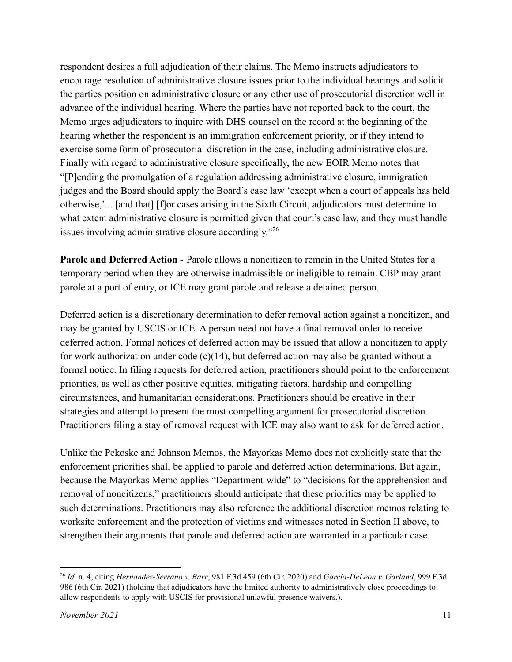respondent desires a full adjudication of their claims. The Memo instructs adjudicators to encourage resolution of administrative closure issues prior to the individual hearings and solicit the parties position on administrative closure or any other use of prosecutorial discretion well in advance of the individual hearing. Where the parties have not reported back to the court, the Memo urges adjudicators to inquire with DHS counsel on the record at the beginning of the hearing whether the respondent is an immigration enforcement priority, or if they intend to exercise some form of prosecutorial discretion in the case, including administrative closure. Finally with regard to administrative closure specifically, the new EOIR Memo notes that "[P]ending the promulgation of a regulation addressing administrative closure, immigration judges and the Board should apply the Board's case law 'except when a court of appeals has held otherwise,'... [and that] [f]or cases arising in the Sixth Circuit, adjudicators must determine to what extent administrative closure is permitted given that court's case law, and they must handle issues involving administrative closure accordingly."<sup>26</sup>

**Parole and Deferred Action -** Parole allows a noncitizen to remain in the United States for a temporary period when they are otherwise inadmissible or ineligible to remain. CBP may grant parole at a port of entry, or ICE may grant parole and release a detained person.

Deferred action is a discretionary determination to defer removal action against a noncitizen, and may be granted by USCIS or ICE. A person need not have a final removal order to receive deferred action. Formal notices of deferred action may be issued that allow a noncitizen to apply for work authorization under code  $(c)(14)$ , but deferred action may also be granted without a formal notice. In filing requests for deferred action, practitioners should point to the enforcement priorities, as well as other positive equities, mitigating factors, hardship and compelling circumstances, and humanitarian considerations. Practitioners should be creative in their strategies and attempt to present the most compelling argument for prosecutorial discretion. Practitioners filing a stay of removal request with ICE may also want to ask for deferred action.

Unlike the Pekoske and Johnson Memos, the Mayorkas Memo does not explicitly state that the enforcement priorities shall be applied to parole and deferred action determinations. But again, because the Mayorkas Memo applies "Department-wide" to "decisions for the apprehension and removal of noncitizens," practitioners should anticipate that these priorities may be applied to such determinations. Practitioners may also reference the additional discretion memos relating to worksite enforcement and the protection of victims and witnesses noted in Section II above, to strengthen their arguments that parole and deferred action are warranted in a particular case.

<sup>26</sup> *Id*. n. 4, citing *Hernandez-Serrano v. Barr*, 981 F.3d 459 (6th Cir. 2020) and *Garcia-DeLeon v. Garland*, 999 F.3d 986 (6th Cir. 2021) (holding that adjudicators have the limited authority to administratively close proceedings to allow respondents to apply with USCIS for provisional unlawful presence waivers.).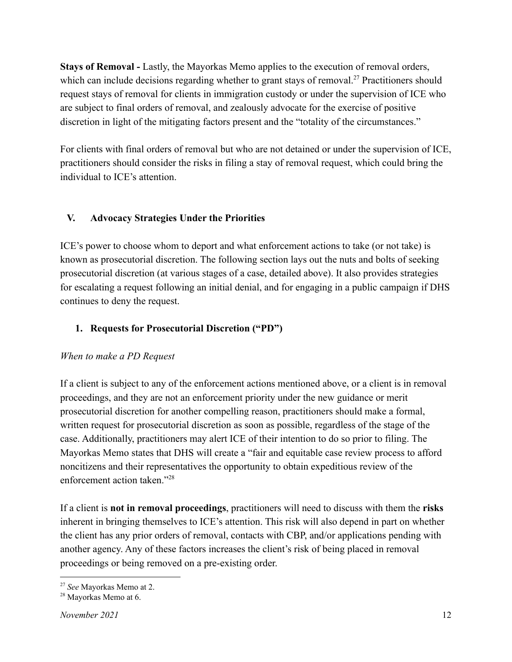**Stays of Removal -** Lastly, the Mayorkas Memo applies to the execution of removal orders, which can include decisions regarding whether to grant stays of removal.<sup>27</sup> Practitioners should request stays of removal for clients in immigration custody or under the supervision of ICE who are subject to final orders of removal, and zealously advocate for the exercise of positive discretion in light of the mitigating factors present and the "totality of the circumstances."

For clients with final orders of removal but who are not detained or under the supervision of ICE, practitioners should consider the risks in filing a stay of removal request, which could bring the individual to ICE's attention.

### **V. Advocacy Strategies Under the Priorities**

ICE's power to choose whom to deport and what enforcement actions to take (or not take) is known as prosecutorial discretion. The following section lays out the nuts and bolts of seeking prosecutorial discretion (at various stages of a case, detailed above). It also provides strategies for escalating a request following an initial denial, and for engaging in a public campaign if DHS continues to deny the request.

# **1. Requests for Prosecutorial Discretion ("PD")**

# *When to make a PD Request*

If a client is subject to any of the enforcement actions mentioned above, or a client is in removal proceedings, and they are not an enforcement priority under the new guidance or merit prosecutorial discretion for another compelling reason, practitioners should make a formal, written request for prosecutorial discretion as soon as possible, regardless of the stage of the case. Additionally, practitioners may alert ICE of their intention to do so prior to filing. The Mayorkas Memo states that DHS will create a "fair and equitable case review process to afford noncitizens and their representatives the opportunity to obtain expeditious review of the enforcement action taken."<sup>28</sup>

If a client is **not in removal proceedings**, practitioners will need to discuss with them the **risks** inherent in bringing themselves to ICE's attention. This risk will also depend in part on whether the client has any prior orders of removal, contacts with CBP, and/or applications pending with another agency. Any of these factors increases the client's risk of being placed in removal proceedings or being removed on a pre-existing order.

<sup>27</sup> *See* Mayorkas Memo at 2.

<sup>28</sup> Mayorkas Memo at 6.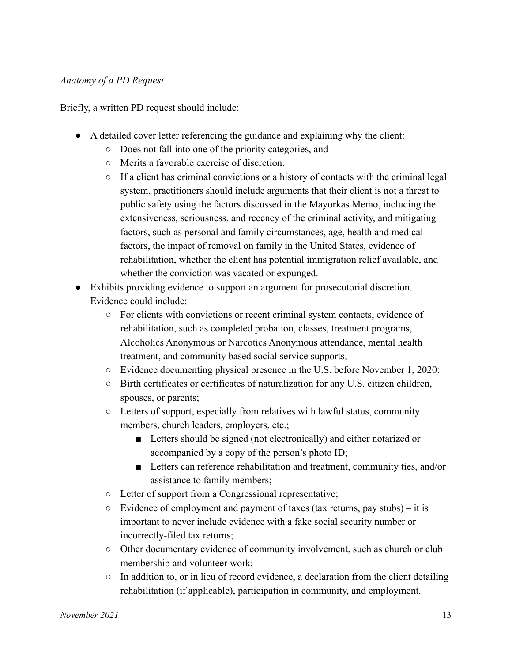#### *Anatomy of a PD Request*

Briefly, a written PD request should include:

- A detailed cover letter referencing the guidance and explaining why the client:
	- Does not fall into one of the priority categories, and
	- Merits a favorable exercise of discretion.
	- $\circ$  If a client has criminal convictions or a history of contacts with the criminal legal system, practitioners should include arguments that their client is not a threat to public safety using the factors discussed in the Mayorkas Memo, including the extensiveness, seriousness, and recency of the criminal activity, and mitigating factors, such as personal and family circumstances, age, health and medical factors, the impact of removal on family in the United States, evidence of rehabilitation, whether the client has potential immigration relief available, and whether the conviction was vacated or expunged.
- Exhibits providing evidence to support an argument for prosecutorial discretion. Evidence could include:
	- For clients with convictions or recent criminal system contacts, evidence of rehabilitation, such as completed probation, classes, treatment programs, Alcoholics Anonymous or Narcotics Anonymous attendance, mental health treatment, and community based social service supports;
	- Evidence documenting physical presence in the U.S. before November 1, 2020;
	- Birth certificates or certificates of naturalization for any U.S. citizen children, spouses, or parents;
	- $\circ$  Letters of support, especially from relatives with lawful status, community members, church leaders, employers, etc.;
		- Letters should be signed (not electronically) and either notarized or accompanied by a copy of the person's photo ID;
		- Letters can reference rehabilitation and treatment, community ties, and/or assistance to family members;
	- Letter of support from a Congressional representative;
	- $\circ$  Evidence of employment and payment of taxes (tax returns, pay stubs) it is important to never include evidence with a fake social security number or incorrectly-filed tax returns;
	- Other documentary evidence of community involvement, such as church or club membership and volunteer work;
	- $\circ$  In addition to, or in lieu of record evidence, a declaration from the client detailing rehabilitation (if applicable), participation in community, and employment.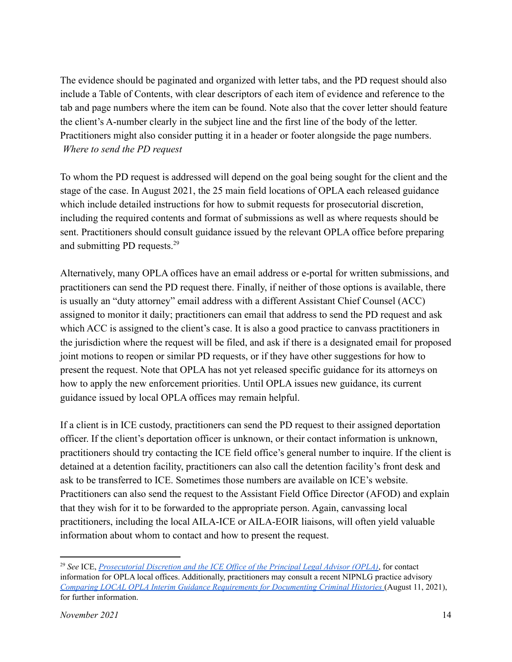The evidence should be paginated and organized with letter tabs, and the PD request should also include a Table of Contents, with clear descriptors of each item of evidence and reference to the tab and page numbers where the item can be found. Note also that the cover letter should feature the client's A-number clearly in the subject line and the first line of the body of the letter. Practitioners might also consider putting it in a header or footer alongside the page numbers. *Where to send the PD request*

To whom the PD request is addressed will depend on the goal being sought for the client and the stage of the case. In August 2021, the 25 main field locations of OPLA each released guidance which include detailed instructions for how to submit requests for prosecutorial discretion, including the required contents and format of submissions as well as where requests should be sent. Practitioners should consult guidance issued by the relevant OPLA office before preparing and submitting PD requests.<sup>29</sup>

Alternatively, many OPLA offices have an email address or e-portal for written submissions, and practitioners can send the PD request there. Finally, if neither of those options is available, there is usually an "duty attorney" email address with a different Assistant Chief Counsel (ACC) assigned to monitor it daily; practitioners can email that address to send the PD request and ask which ACC is assigned to the client's case. It is also a good practice to canvass practitioners in the jurisdiction where the request will be filed, and ask if there is a designated email for proposed joint motions to reopen or similar PD requests, or if they have other suggestions for how to present the request. Note that OPLA has not yet released specific guidance for its attorneys on how to apply the new enforcement priorities. Until OPLA issues new guidance, its current guidance issued by local OPLA offices may remain helpful.

If a client is in ICE custody, practitioners can send the PD request to their assigned deportation officer. If the client's deportation officer is unknown, or their contact information is unknown, practitioners should try contacting the ICE field office's general number to inquire. If the client is detained at a detention facility, practitioners can also call the detention facility's front desk and ask to be transferred to ICE. Sometimes those numbers are available on ICE's website. Practitioners can also send the request to the Assistant Field Office Director (AFOD) and explain that they wish for it to be forwarded to the appropriate person. Again, canvassing local practitioners, including the local AILA-ICE or AILA-EOIR liaisons, will often yield valuable information about whom to contact and how to present the request.

<sup>29</sup> *See* ICE, *[Prosecutorial](https://www.ice.gov/about-ice/opla/prosecutorial-discretion) Discretion and the ICE Of ice of the Principal Legal Advisor (OPLA)*, for contact information for OPLA local offices. Additionally, practitioners may consult a recent NIPNLG practice advisory *Comparing LOCAL OPLA Interim Guidance [Requirements](https://nipnlg.org/PDFs/practitioners/practice_advisories/gen/2021_11Aug_OPLA-comparison-chart.pdf) for Documenting Criminal Histories* (August 11, 2021), for further information.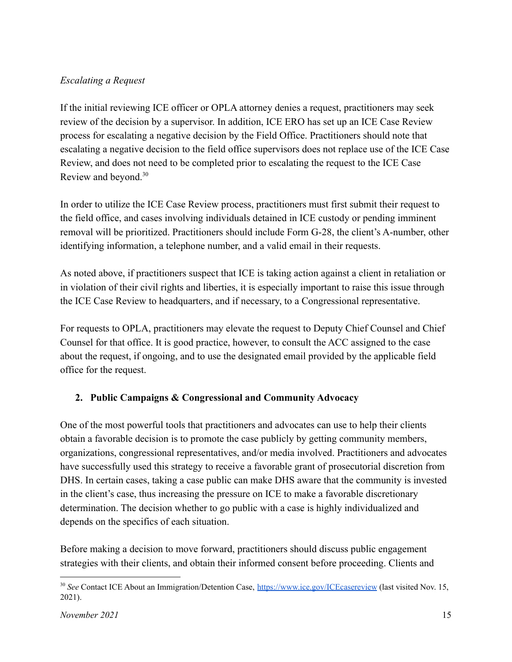### *Escalating a Request*

If the initial reviewing ICE officer or OPLA attorney denies a request, practitioners may seek review of the decision by a supervisor. In addition, ICE ERO has set up an ICE Case Review process for escalating a negative decision by the Field Office. Practitioners should note that escalating a negative decision to the field office supervisors does not replace use of the ICE Case Review, and does not need to be completed prior to escalating the request to the ICE Case Review and beyond.<sup>30</sup>

In order to utilize the ICE Case Review process, practitioners must first submit their request to the field office, and cases involving individuals detained in ICE custody or pending imminent removal will be prioritized. Practitioners should include Form G-28, the client's A-number, other identifying information, a telephone number, and a valid email in their requests.

As noted above, if practitioners suspect that ICE is taking action against a client in retaliation or in violation of their civil rights and liberties, it is especially important to raise this issue through the ICE Case Review to headquarters, and if necessary, to a Congressional representative.

For requests to OPLA, practitioners may elevate the request to Deputy Chief Counsel and Chief Counsel for that office. It is good practice, however, to consult the ACC assigned to the case about the request, if ongoing, and to use the designated email provided by the applicable field office for the request.

### **2. Public Campaigns & Congressional and Community Advocacy**

One of the most powerful tools that practitioners and advocates can use to help their clients obtain a favorable decision is to promote the case publicly by getting community members, organizations, congressional representatives, and/or media involved. Practitioners and advocates have successfully used this strategy to receive a favorable grant of prosecutorial discretion from DHS. In certain cases, taking a case public can make DHS aware that the community is invested in the client's case, thus increasing the pressure on ICE to make a favorable discretionary determination. The decision whether to go public with a case is highly individualized and depends on the specifics of each situation.

Before making a decision to move forward, practitioners should discuss public engagement strategies with their clients, and obtain their informed consent before proceeding. Clients and

<sup>&</sup>lt;sup>30</sup> See Contact ICE About an Immigration/Detention Case, <https://www.ice.gov/ICEcasereview> (last visited Nov. 15, 2021).